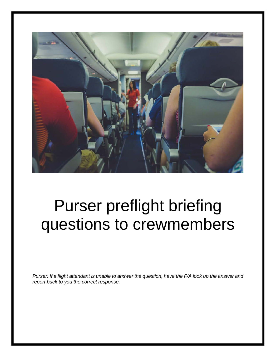

# Purser preflight briefing questions to crewmembers

*Purser: If a flight attendant is unable to answer the question, have the F/A look up the answer and report back to you the correct response.*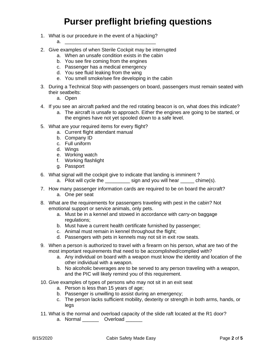- 1. What is our procedure in the event of a hijacking?
	- a. \_\_\_\_\_\_\_\_\_\_\_\_\_\_\_\_\_\_\_\_\_\_\_\_\_\_\_\_\_\_\_\_\_
- 2. Give examples of when Sterile Cockpit may be interrupted
	- a. When an unsafe condition exists in the cabin
	- b. You see fire coming from the engines
	- c. Passenger has a medical emergency
	- d. You see fluid leaking from the wing
	- e. You smell smoke/see fire developing in the cabin
- 3. During a Technical Stop with passengers on board, passengers must remain seated with their seatbelts:
	- a. Open
- 4. If you see an aircraft parked and the red rotating beacon is on, what does this indicate?
	- a. The aircraft is unsafe to approach. Either the engines are going to be started, or the engines have not yet spooled down to a safe level.
- 5. What are your required items for every flight?
	- a. Current flight attendant manual
	- b. Company ID
	- c. Full uniform
	- d. Wings
	- e. Working watch
	- f. Working flashlight
	- g. Passport
- 6. What signal will the cockpit give to indicate that landing is imminent ?
	- a. Pilot will cycle the same sign and you will hear some chime(s).
- 7. How many passenger information cards are required to be on board the aircraft?
	- a. One per seat
- 8. What are the requirements for passengers traveling with pest in the cabin? Not emotional support or service animals, only pets.
	- a. Must be in a kennel and stowed in accordance with carry-on baggage regulations;
	- b. Must have a current health certificate furnished by passenger;
	- c. Animal must remain in kennel throughout the flight;
	- d. Passengers with pets in kennels may not sit in exit row seats.
- 9. When a person is authorized to travel with a firearm on his person, what are two of the most important requirements that need to be accomplished/complied with?
	- a. Any individual on board with a weapon must know the identity and location of the other individual with a weapon.
	- b. No alcoholic beverages are to be served to any person traveling with a weapon, and the PIC will likely remind you of this requirement.
- 10. Give examples of types of persons who may not sit in an exit seat
	- a. Person is less than 15 years of age;
	- b. Passenger is unwilling to assist during an emergency;
	- c. The person lacks sufficient mobility, dexterity or strength in both arms, hands, or legs
- 11. What is the normal and overload capacity of the slide raft located at the R1 door?
	- a. Normal \_\_\_\_\_\_\_ Overload \_\_\_\_\_\_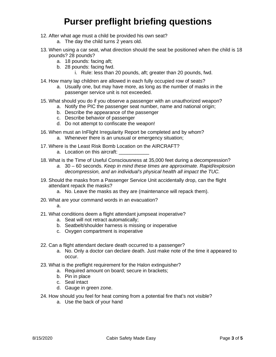- 12. After what age must a child be provided his own seat?
	- a. The day the child turns 2 years old.
- 13. When using a car seat, what direction should the seat be positioned when the child is 18 pounds? 28 pounds?
	- a. 18 pounds: facing aft;
	- b. 28 pounds: facing fwd.
		- i. Rule: less than 20 pounds, aft; greater than 20 pounds, fwd.
- 14. How many lap children are allowed in each fully occupied row of seats?
	- a. Usually one, but may have more, as long as the number of masks in the passenger service unit is not exceeded.
- 15. What should you do if you observe a passenger with an unauthorized weapon?
	- a. Notify the PIC the passenger seat number, name and national origin;
	- b. Describe the appearance of the passenger
	- c. Describe behavior of passenger
	- d. Do not attempt to confiscate the weapon!
- 16. When must an InFlight Irregularity Report be completed and by whom?
	- a. Whenever there is an unusual or emergency situation;
- 17. Where is the Least Risk Bomb Location on the AIRCRAFT?
	- a. Location on this aircraft:
- 18. What is the Time of Useful Consciousness at 35,000 feet during a decompression?
	- *a.* 30 60 seconds. *Keep in mind these times are approximate. Rapid/explosion decompression, and an individual's physical health all impact the TUC.*
- 19. Should the masks from a Passenger Service Unit accidentally drop, can the flight attendant repack the masks?
	- a. No. Leave the masks as they are (maintenance will repack them).
- 20. What are your command words in an evacuation?
	- a.
- 21. What conditions deem a flight attendant jumpseat inoperative?
	- a. Seat will not retract automatically;
	- b. Seatbelt/shoulder harness is missing or inoperative
	- c. Oxygen compartment is inoperative
- 22. Can a flight attendant declare death occurred to a passenger?
	- a. No. Only a doctor can declare death. Just make note of the time it appeared to occur.
- 23. What is the preflight requirement for the Halon extinguisher?
	- a. Required amount on board; secure in brackets;
	- b. Pin in place
	- c. Seal intact
	- d. Gauge in green zone.
- 24. How should you feel for heat coming from a potential fire that's not visible?
	- a. Use the back of your hand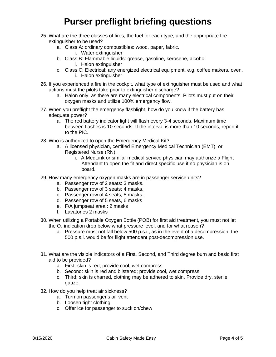- 25. What are the three classes of fires, the fuel for each type, and the appropriate fire extinguisher to be used?
	- a. Class A: ordinary combustibles: wood, paper, fabric.
		- i. Water extinguisher
	- b. Class B: Flammable liquids: grease, gasoline, kerosene, alcohol i. Halon extinguisher
	- c. Class C: Electrical: any energized electrical equipment, e.g. coffee makers, oven. i. Halon extinguisher
- 26. If you experienced a fire in the cockpit, what type of extinguisher must be used and what actions must the pilots take prior to extinguisher discharge?
	- a. Halon only, as there are many electrical components. Pilots must put on their oxygen masks and utilize 100% emergency flow.
- 27. When you preflight the emergency flashlight, how do you know if the battery has adequate power?
	- a. The red battery indicator light will flash every 3-4 seconds. Maximum time between flashes is 10 seconds. If the interval is more than 10 seconds, report it to the PIC.
- 28. Who is authorized to open the Emergency Medical Kit?
	- a. A licensed physician, certified Emergency Medical Technician (EMT), or Registered Nurse (RN).
		- i. A MedLink or similar medical service physician may authorize a Flight Attendant to open the fit and direct specific use if no physician is on board.
- 29. How many emergency oxygen masks are in passenger service units?
	- a. Passenger row of 2 seats: 3 masks.
	- b. Passenger row of 3 seats: 4 masks.
	- c. Passenger row of 4 seats, 5 masks.
	- d. Passenger row of 5 seats, 6 masks
	- e. F/A jumpseat area : 2 masks
	- f. Lavatories 2 masks
- 30. When utilizing a Portable Oxygen Bottle (POB) for first aid treatment, you must not let the  $O<sub>2</sub>$  indication drop below what pressure level, and for what reason?
	- a. Pressure must not fall below 500 p.s.i., as in the event of a decompression, the 500 p.s.i. would be for flight attendant post-decompression use.
- 31. What are the visible indicators of a First, Second, and Third degree burn and basic first aid to be provided?
	- a. First: skin is red; provide cool, wet compress
	- b. Second: skin is red and blistered; provide cool, wet compress
	- c. Third: skin is charred, clothing may be adhered to skin. Provide dry, sterile gauze.
- 32. How do you help treat air sickness?
	- a. Turn on passenger's air vent
	- b. Loosen tight clothing
	- c. Offer ice for passenger to suck on/chew